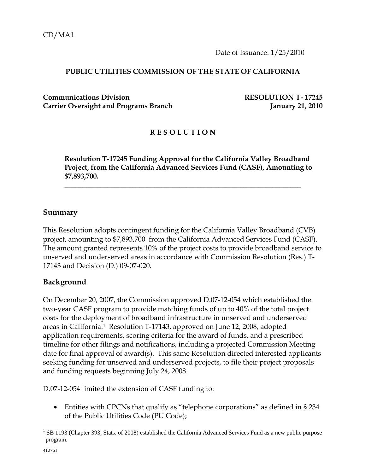Date of Issuance: 1/25/2010

#### **PUBLIC UTILITIES COMMISSION OF THE STATE OF CALIFORNIA**

**Communications Division RESOLUTION T- 17245** Carrier Oversight and Programs Branch **January 21, 2010** 

## **R E S O L U T I O N**

**Resolution T-17245 Funding Approval for the California Valley Broadband Project, from the California Advanced Services Fund (CASF), Amounting to \$7,893,700.** 

 $\overline{\phantom{a}}$  , and the contract of the contract of the contract of the contract of the contract of the contract of the contract of the contract of the contract of the contract of the contract of the contract of the contrac

#### **Summary**

This Resolution adopts contingent funding for the California Valley Broadband (CVB) project, amounting to \$7,893,700 from the California Advanced Services Fund (CASF). The amount granted represents 10% of the project costs to provide broadband service to unserved and underserved areas in accordance with Commission Resolution (Res.) T-17143 and Decision (D.) 09-07-020.

### **Background**

On December 20, 2007, the Commission approved D.07-12-054 which established the two-year CASF program to provide matching funds of up to 40% of the total project costs for the deployment of broadband infrastructure in unserved and underserved areas in California.1 Resolution T-17143, approved on June 12, 2008, adopted application requirements, scoring criteria for the award of funds, and a prescribed timeline for other filings and notifications, including a projected Commission Meeting date for final approval of award(s). This same Resolution directed interested applicants seeking funding for unserved and underserved projects, to file their project proposals and funding requests beginning July 24, 2008.

D.07-12-054 limited the extension of CASF funding to:

• Entities with CPCNs that qualify as "telephone corporations" as defined in § 234 of the Public Utilities Code (PU Code);

 $\overline{a}$ 

<sup>&</sup>lt;sup>1</sup> SB 1193 (Chapter 393, Stats. of 2008) established the California Advanced Services Fund as a new public purpose program.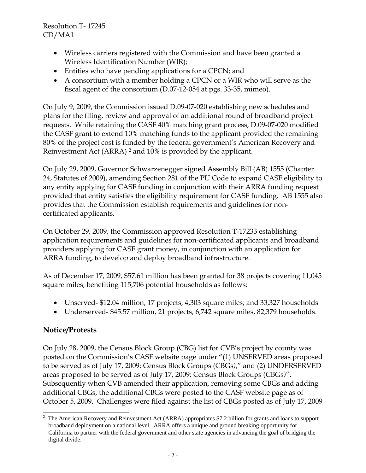- Wireless carriers registered with the Commission and have been granted a Wireless Identification Number (WIR);
- Entities who have pending applications for a CPCN; and
- A consortium with a member holding a CPCN or a WIR who will serve as the fiscal agent of the consortium (D.07-12-054 at pgs. 33-35, mimeo).

On July 9, 2009, the Commission issued D.09-07-020 establishing new schedules and plans for the filing, review and approval of an additional round of broadband project requests. While retaining the CASF 40% matching grant process, D.09-07-020 modified the CASF grant to extend 10% matching funds to the applicant provided the remaining 80% of the project cost is funded by the federal government's American Recovery and Reinvestment Act (ARRA) 2 and 10% is provided by the applicant.

On July 29, 2009, Governor Schwarzenegger signed Assembly Bill (AB) 1555 (Chapter 24, Statutes of 2009), amending Section 281 of the PU Code to expand CASF eligibility to any entity applying for CASF funding in conjunction with their ARRA funding request provided that entity satisfies the eligibility requirement for CASF funding. AB 1555 also provides that the Commission establish requirements and guidelines for noncertificated applicants.

On October 29, 2009, the Commission approved Resolution T-17233 establishing application requirements and guidelines for non-certificated applicants and broadband providers applying for CASF grant money, in conjunction with an application for ARRA funding, to develop and deploy broadband infrastructure.

As of December 17, 2009, \$57.61 million has been granted for 38 projects covering 11,045 square miles, benefiting 115,706 potential households as follows:

- Unserved- \$12.04 million, 17 projects, 4,303 square miles, and 33,327 households
- Underserved- \$45.57 million, 21 projects, 6,742 square miles, 82,379 households.

# **Notice/Protests**

 $\overline{a}$ 

On July 28, 2009, the Census Block Group (CBG) list for CVB's project by county was posted on the Commission's CASF website page under "(1) UNSERVED areas proposed to be served as of July 17, 2009: Census Block Groups (CBGs*)*," and (2) UNDERSERVED areas proposed to be served as of July 17, 2009: Census Block Groups (CBGs*)*". Subsequently when CVB amended their application, removing some CBGs and adding additional CBGs, the additional CBGs were posted to the CASF website page as of October 5, 2009. Challenges were filed against the list of CBGs posted as of July 17, 2009

<sup>&</sup>lt;sup>2</sup> The American Recovery and Reinvestment Act (ARRA) appropriates \$7.2 billion for grants and loans to support broadband deployment on a national level. ARRA offers a unique and ground breaking opportunity for California to partner with the federal government and other state agencies in advancing the goal of bridging the digital divide.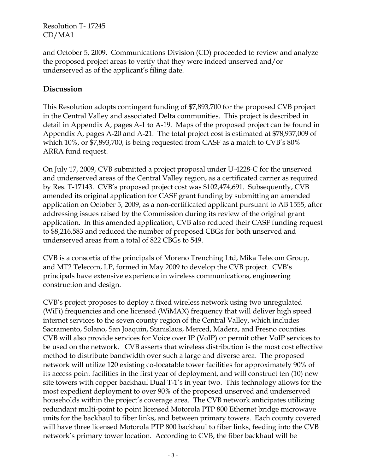and October 5, 2009. Communications Division (CD) proceeded to review and analyze the proposed project areas to verify that they were indeed unserved and/or underserved as of the applicant's filing date.

## **Discussion**

This Resolution adopts contingent funding of \$7,893,700 for the proposed CVB project in the Central Valley and associated Delta communities. This project is described in detail in Appendix A, pages A-1 to A-19. Maps of the proposed project can be found in Appendix A, pages A-20 and A-21. The total project cost is estimated at \$78,937,009 of which 10%, or \$7,893,700, is being requested from CASF as a match to CVB's 80% ARRA fund request.

On July 17, 2009, CVB submitted a project proposal under U-4228-C for the unserved and underserved areas of the Central Valley region, as a certificated carrier as required by Res. T-17143. CVB's proposed project cost was \$102,474,691. Subsequently, CVB amended its original application for CASF grant funding by submitting an amended application on October 5, 2009, as a non-certificated applicant pursuant to AB 1555, after addressing issues raised by the Commission during its review of the original grant application. In this amended application, CVB also reduced their CASF funding request to \$8,216,583 and reduced the number of proposed CBGs for both unserved and underserved areas from a total of 822 CBGs to 549.

CVB is a consortia of the principals of Moreno Trenching Ltd, Mika Telecom Group, and MT2 Telecom, LP, formed in May 2009 to develop the CVB project. CVB's principals have extensive experience in wireless communications, engineering construction and design.

CVB's project proposes to deploy a fixed wireless network using two unregulated (WiFi) frequencies and one licensed (WiMAX) frequency that will deliver high speed internet services to the seven county region of the Central Valley, which includes Sacramento, Solano, San Joaquin, Stanislaus, Merced, Madera, and Fresno counties. CVB will also provide services for Voice over IP (VoIP) or permit other VoIP services to be used on the network. CVB asserts that wireless distribution is the most cost effective method to distribute bandwidth over such a large and diverse area. The proposed network will utilize 120 existing co-locatable tower facilities for approximately 90% of its access point facilities in the first year of deployment, and will construct ten (10) new site towers with copper backhaul Dual T-1's in year two. This technology allows for the most expedient deployment to over 90% of the proposed unserved and underserved households within the project's coverage area. The CVB network anticipates utilizing redundant multi-point to point licensed Motorola PTP 800 Ethernet bridge microwave units for the backhaul to fiber links, and between primary towers. Each county covered will have three licensed Motorola PTP 800 backhaul to fiber links, feeding into the CVB network's primary tower location. According to CVB, the fiber backhaul will be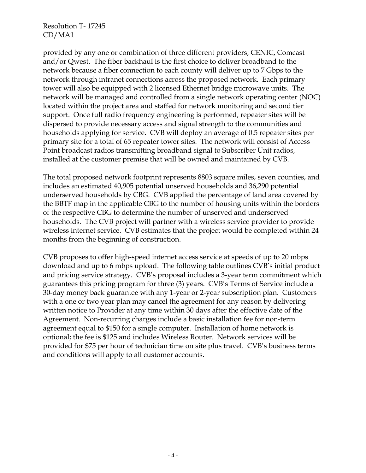provided by any one or combination of three different providers; CENIC, Comcast and/or Qwest. The fiber backhaul is the first choice to deliver broadband to the network because a fiber connection to each county will deliver up to 7 Gbps to the network through intranet connections across the proposed network. Each primary tower will also be equipped with 2 licensed Ethernet bridge microwave units. The network will be managed and controlled from a single network operating center (NOC) located within the project area and staffed for network monitoring and second tier support. Once full radio frequency engineering is performed, repeater sites will be dispersed to provide necessary access and signal strength to the communities and households applying for service. CVB will deploy an average of 0.5 repeater sites per primary site for a total of 65 repeater tower sites. The network will consist of Access Point broadcast radios transmitting broadband signal to Subscriber Unit radios, installed at the customer premise that will be owned and maintained by CVB.

The total proposed network footprint represents 8803 square miles, seven counties, and includes an estimated 40,905 potential unserved households and 36,290 potential underserved households by CBG. CVB applied the percentage of land area covered by the BBTF map in the applicable CBG to the number of housing units within the borders of the respective CBG to determine the number of unserved and underserved households. The CVB project will partner with a wireless service provider to provide wireless internet service. CVB estimates that the project would be completed within 24 months from the beginning of construction.

CVB proposes to offer high-speed internet access service at speeds of up to 20 mbps download and up to 6 mbps upload. The following table outlines CVB's initial product and pricing service strategy. CVB's proposal includes a 3-year term commitment which guarantees this pricing program for three (3) years. CVB's Terms of Service include a 30-day money back guarantee with any 1-year or 2-year subscription plan. Customers with a one or two year plan may cancel the agreement for any reason by delivering written notice to Provider at any time within 30 days after the effective date of the Agreement. Non-recurring charges include a basic installation fee for non-term agreement equal to \$150 for a single computer. Installation of home network is optional; the fee is \$125 and includes Wireless Router. Network services will be provided for \$75 per hour of technician time on site plus travel. CVB's business terms and conditions will apply to all customer accounts.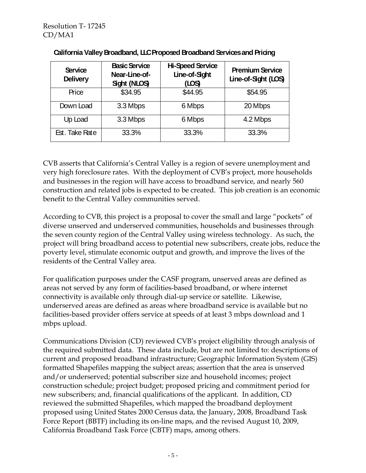| <b>Service</b><br><b>Delivery</b> | <b>Basic Service</b><br>Near-Line-of-<br>Sight (NLOS) | <b>Hi-Speed Service</b><br>Line-of-Sight<br>(LOS) | <b>Premium Service</b><br>Line-of-Sight (LOS) |
|-----------------------------------|-------------------------------------------------------|---------------------------------------------------|-----------------------------------------------|
| Price                             | \$34.95                                               | \$44.95                                           | \$54.95                                       |
| Down Load                         | 3.3 Mbps                                              | 6 Mbps                                            | 20 Mbps                                       |
| Up Load                           | 3.3 Mbps                                              | 6 Mbps                                            | 4.2 Mbps                                      |
| Est. Take Rate                    | 33.3%                                                 | 33.3%                                             | 33.3%                                         |

#### **California Valley Broadband, LLC Proposed Broadband Services and Pricing**

CVB asserts that California's Central Valley is a region of severe unemployment and very high foreclosure rates. With the deployment of CVB's project, more households and businesses in the region will have access to broadband service, and nearly 560 construction and related jobs is expected to be created. This job creation is an economic benefit to the Central Valley communities served.

According to CVB, this project is a proposal to cover the small and large "pockets" of diverse unserved and underserved communities, households and businesses through the seven county region of the Central Valley using wireless technology. As such, the project will bring broadband access to potential new subscribers, create jobs, reduce the poverty level, stimulate economic output and growth, and improve the lives of the residents of the Central Valley area.

For qualification purposes under the CASF program, unserved areas are defined as areas not served by any form of facilities-based broadband, or where internet connectivity is available only through dial-up service or satellite. Likewise, underserved areas are defined as areas where broadband service is available but no facilities-based provider offers service at speeds of at least 3 mbps download and 1 mbps upload.

Communications Division (CD) reviewed CVB's project eligibility through analysis of the required submitted data. These data include, but are not limited to: descriptions of current and proposed broadband infrastructure; Geographic Information System (GIS) formatted Shapefiles mapping the subject areas; assertion that the area is unserved and/or underserved; potential subscriber size and household incomes; project construction schedule; project budget; proposed pricing and commitment period for new subscribers; and, financial qualifications of the applicant. In addition, CD reviewed the submitted Shapefiles, which mapped the broadband deployment proposed using United States 2000 Census data, the January, 2008, Broadband Task Force Report (BBTF) including its on-line maps, and the revised August 10, 2009, California Broadband Task Force (CBTF) maps, among others.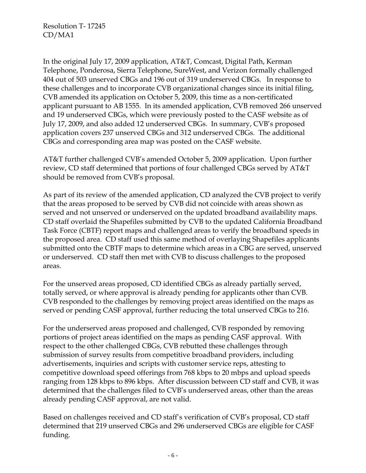In the original July 17, 2009 application, AT&T, Comcast, Digital Path, Kerman Telephone, Ponderosa, Sierra Telephone, SureWest, and Verizon formally challenged 404 out of 503 unserved CBGs and 196 out of 319 underserved CBGs. In response to these challenges and to incorporate CVB organizational changes since its initial filing, CVB amended its application on October 5, 2009, this time as a non-certificated applicant pursuant to AB 1555. In its amended application, CVB removed 266 unserved and 19 underserved CBGs, which were previously posted to the CASF website as of July 17, 2009, and also added 12 underserved CBGs. In summary, CVB's proposed application covers 237 unserved CBGs and 312 underserved CBGs. The additional CBGs and corresponding area map was posted on the CASF website.

AT&T further challenged CVB's amended October 5, 2009 application. Upon further review, CD staff determined that portions of four challenged CBGs served by AT&T should be removed from CVB's proposal.

As part of its review of the amended application, CD analyzed the CVB project to verify that the areas proposed to be served by CVB did not coincide with areas shown as served and not unserved or underserved on the updated broadband availability maps. CD staff overlaid the Shapefiles submitted by CVB to the updated California Broadband Task Force (CBTF) report maps and challenged areas to verify the broadband speeds in the proposed area. CD staff used this same method of overlaying Shapefiles applicants submitted onto the CBTF maps to determine which areas in a CBG are served, unserved or underserved. CD staff then met with CVB to discuss challenges to the proposed areas.

For the unserved areas proposed, CD identified CBGs as already partially served, totally served, or where approval is already pending for applicants other than CVB. CVB responded to the challenges by removing project areas identified on the maps as served or pending CASF approval, further reducing the total unserved CBGs to 216.

For the underserved areas proposed and challenged, CVB responded by removing portions of project areas identified on the maps as pending CASF approval. With respect to the other challenged CBGs, CVB rebutted these challenges through submission of survey results from competitive broadband providers, including advertisements, inquiries and scripts with customer service reps, attesting to competitive download speed offerings from 768 kbps to 20 mbps and upload speeds ranging from 128 kbps to 896 kbps. After discussion between CD staff and CVB, it was determined that the challenges filed to CVB's underserved areas, other than the areas already pending CASF approval, are not valid.

Based on challenges received and CD staff's verification of CVB's proposal, CD staff determined that 219 unserved CBGs and 296 underserved CBGs are eligible for CASF funding.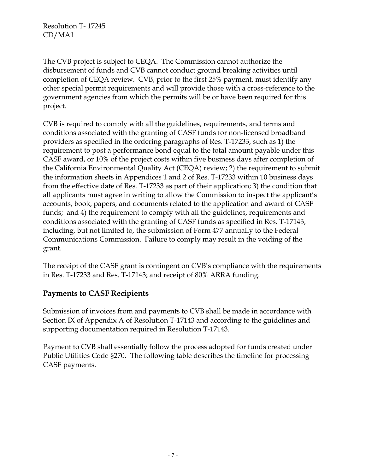The CVB project is subject to CEQA. The Commission cannot authorize the disbursement of funds and CVB cannot conduct ground breaking activities until completion of CEQA review. CVB, prior to the first 25% payment, must identify any other special permit requirements and will provide those with a cross-reference to the government agencies from which the permits will be or have been required for this project.

CVB is required to comply with all the guidelines, requirements, and terms and conditions associated with the granting of CASF funds for non-licensed broadband providers as specified in the ordering paragraphs of Res. T-17233, such as 1) the requirement to post a performance bond equal to the total amount payable under this CASF award, or 10% of the project costs within five business days after completion of the California Environmental Quality Act (CEQA) review; 2) the requirement to submit the information sheets in Appendices 1 and 2 of Res. T-17233 within 10 business days from the effective date of Res. T-17233 as part of their application; 3) the condition that all applicants must agree in writing to allow the Commission to inspect the applicant's accounts, book, papers, and documents related to the application and award of CASF funds; and 4) the requirement to comply with all the guidelines, requirements and conditions associated with the granting of CASF funds as specified in Res. T-17143, including, but not limited to, the submission of Form 477 annually to the Federal Communications Commission. Failure to comply may result in the voiding of the grant.

The receipt of the CASF grant is contingent on CVB's compliance with the requirements in Res. T-17233 and Res. T-17143; and receipt of 80% ARRA funding.

## **Payments to CASF Recipients**

Submission of invoices from and payments to CVB shall be made in accordance with Section IX of Appendix A of Resolution T-17143 and according to the guidelines and supporting documentation required in Resolution T-17143.

Payment to CVB shall essentially follow the process adopted for funds created under Public Utilities Code §270. The following table describes the timeline for processing CASF payments.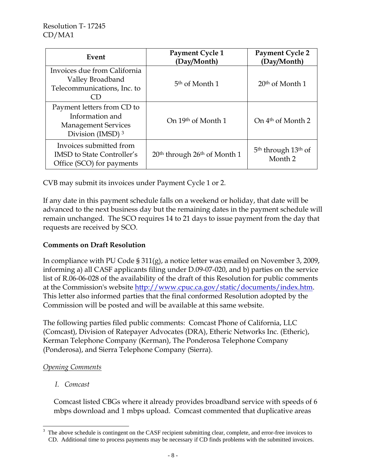| Event                                                                                                       | Payment Cycle 1<br>(Day/Month)                       | <b>Payment Cycle 2</b><br>(Day/Month)                             |
|-------------------------------------------------------------------------------------------------------------|------------------------------------------------------|-------------------------------------------------------------------|
| Invoices due from California<br>Valley Broadband<br>Telecommunications, Inc. to                             | 5 <sup>th</sup> of Month 1                           | $20th$ of Month 1                                                 |
| Payment letters from CD to<br>Information and<br><b>Management Services</b><br>Division (IMSD) <sup>3</sup> | On 19th of Month 1                                   | On 4 <sup>th</sup> of Month 2                                     |
| Invoices submitted from<br><b>IMSD</b> to State Controller's<br>Office (SCO) for payments                   | 20 <sup>th</sup> through 26 <sup>th</sup> of Month 1 | 5 <sup>th</sup> through 13 <sup>th</sup> of<br>Month <sub>2</sub> |

CVB may submit its invoices under Payment Cycle 1 or 2.

If any date in this payment schedule falls on a weekend or holiday, that date will be advanced to the next business day but the remaining dates in the payment schedule will remain unchanged. The SCO requires 14 to 21 days to issue payment from the day that requests are received by SCO.

### **Comments on Draft Resolution**

In compliance with PU Code § 311(g), a notice letter was emailed on November 3, 2009, informing a) all CASF applicants filing under D.09-07-020, and b) parties on the service list of R.06-06-028 of the availability of the draft of this Resolution for public comments at the Commission's website http://www.cpuc.ca.gov/static/documents/index.htm. This letter also informed parties that the final conformed Resolution adopted by the Commission will be posted and will be available at this same website.

The following parties filed public comments: Comcast Phone of California, LLC (Comcast), Division of Ratepayer Advocates (DRA), Etheric Networks Inc. (Etheric), Kerman Telephone Company (Kerman), The Ponderosa Telephone Company (Ponderosa), and Sierra Telephone Company (Sierra).

### *Opening Comments*

*I. Comcast* 

Comcast listed CBGs where it already provides broadband service with speeds of 6 mbps download and 1 mbps upload. Comcast commented that duplicative areas

 3 The above schedule is contingent on the CASF recipient submitting clear, complete, and error-free invoices to CD. Additional time to process payments may be necessary if CD finds problems with the submitted invoices.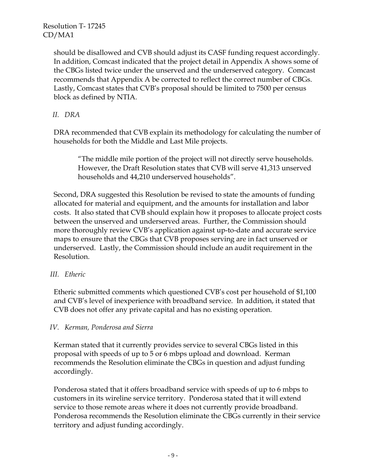> should be disallowed and CVB should adjust its CASF funding request accordingly. In addition, Comcast indicated that the project detail in Appendix A shows some of the CBGs listed twice under the unserved and the underserved category. Comcast recommends that Appendix A be corrected to reflect the correct number of CBGs. Lastly, Comcast states that CVB's proposal should be limited to 7500 per census block as defined by NTIA.

### *II. DRA*

DRA recommended that CVB explain its methodology for calculating the number of households for both the Middle and Last Mile projects.

"The middle mile portion of the project will not directly serve households. However, the Draft Resolution states that CVB will serve 41,313 unserved households and 44,210 underserved households".

Second, DRA suggested this Resolution be revised to state the amounts of funding allocated for material and equipment, and the amounts for installation and labor costs. It also stated that CVB should explain how it proposes to allocate project costs between the unserved and underserved areas. Further, the Commission should more thoroughly review CVB's application against up-to-date and accurate service maps to ensure that the CBGs that CVB proposes serving are in fact unserved or underserved. Lastly, the Commission should include an audit requirement in the Resolution.

#### *III. Etheric*

Etheric submitted comments which questioned CVB's cost per household of \$1,100 and CVB's level of inexperience with broadband service. In addition, it stated that CVB does not offer any private capital and has no existing operation.

#### *IV. Kerman, Ponderosa and Sierra*

Kerman stated that it currently provides service to several CBGs listed in this proposal with speeds of up to 5 or 6 mbps upload and download. Kerman recommends the Resolution eliminate the CBGs in question and adjust funding accordingly.

Ponderosa stated that it offers broadband service with speeds of up to 6 mbps to customers in its wireline service territory. Ponderosa stated that it will extend service to those remote areas where it does not currently provide broadband. Ponderosa recommends the Resolution eliminate the CBGs currently in their service territory and adjust funding accordingly.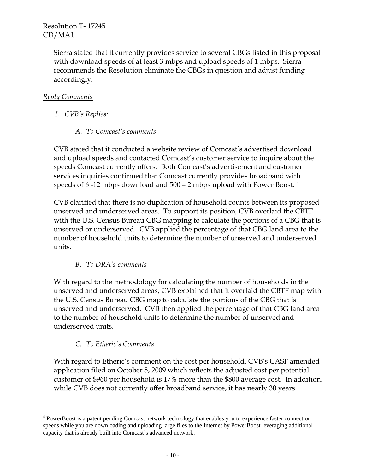> Sierra stated that it currently provides service to several CBGs listed in this proposal with download speeds of at least 3 mbps and upload speeds of 1 mbps. Sierra recommends the Resolution eliminate the CBGs in question and adjust funding accordingly.

### *Reply Comments*

- *I. CVB's Replies:* 
	- *A. To Comcast's comments*

CVB stated that it conducted a website review of Comcast's advertised download and upload speeds and contacted Comcast's customer service to inquire about the speeds Comcast currently offers. Both Comcast's advertisement and customer services inquiries confirmed that Comcast currently provides broadband with speeds of 6 -12 mbps download and 500 – 2 mbps upload with Power Boost. 4

CVB clarified that there is no duplication of household counts between its proposed unserved and underserved areas. To support its position, CVB overlaid the CBTF with the U.S. Census Bureau CBG mapping to calculate the portions of a CBG that is unserved or underserved. CVB applied the percentage of that CBG land area to the number of household units to determine the number of unserved and underserved units.

### *B. To DRA's comments*

With regard to the methodology for calculating the number of households in the unserved and underserved areas, CVB explained that it overlaid the CBTF map with the U.S. Census Bureau CBG map to calculate the portions of the CBG that is unserved and underserved. CVB then applied the percentage of that CBG land area to the number of household units to determine the number of unserved and underserved units.

### *C. To Etheric's Comments*

 $\overline{a}$ 

With regard to Etheric's comment on the cost per household, CVB's CASF amended application filed on October 5, 2009 which reflects the adjusted cost per potential customer of \$960 per household is 17% more than the \$800 average cost. In addition, while CVB does not currently offer broadband service, it has nearly 30 years

<sup>&</sup>lt;sup>4</sup> PowerBoost is a patent pending Comcast network technology that enables you to experience faster connection speeds while you are downloading and uploading large files to the Internet by PowerBoost leveraging additional capacity that is already built into Comcast's advanced network.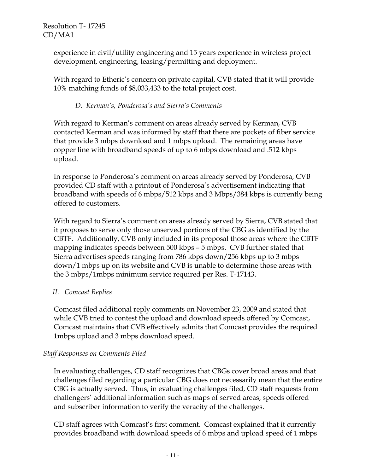> experience in civil/utility engineering and 15 years experience in wireless project development, engineering, leasing/permitting and deployment.

With regard to Etheric's concern on private capital, CVB stated that it will provide 10% matching funds of \$8,033,433 to the total project cost.

### *D. Kerman's, Ponderosa's and Sierra's Comments*

With regard to Kerman's comment on areas already served by Kerman, CVB contacted Kerman and was informed by staff that there are pockets of fiber service that provide 3 mbps download and 1 mbps upload. The remaining areas have copper line with broadband speeds of up to 6 mbps download and .512 kbps upload.

In response to Ponderosa's comment on areas already served by Ponderosa, CVB provided CD staff with a printout of Ponderosa's advertisement indicating that broadband with speeds of 6 mbps/512 kbps and 3 Mbps/384 kbps is currently being offered to customers.

With regard to Sierra's comment on areas already served by Sierra, CVB stated that it proposes to serve only those unserved portions of the CBG as identified by the CBTF. Additionally, CVB only included in its proposal those areas where the CBTF mapping indicates speeds between 500 kbps – 5 mbps. CVB further stated that Sierra advertises speeds ranging from 786 kbps down/256 kbps up to 3 mbps down/1 mbps up on its website and CVB is unable to determine those areas with the 3 mbps/1mbps minimum service required per Res. T-17143.

### *II. Comcast Replies*

Comcast filed additional reply comments on November 23, 2009 and stated that while CVB tried to contest the upload and download speeds offered by Comcast, Comcast maintains that CVB effectively admits that Comcast provides the required 1mbps upload and 3 mbps download speed.

### *Staff Responses on Comments Filed*

In evaluating challenges, CD staff recognizes that CBGs cover broad areas and that challenges filed regarding a particular CBG does not necessarily mean that the entire CBG is actually served. Thus, in evaluating challenges filed, CD staff requests from challengers' additional information such as maps of served areas, speeds offered and subscriber information to verify the veracity of the challenges.

CD staff agrees with Comcast's first comment. Comcast explained that it currently provides broadband with download speeds of 6 mbps and upload speed of 1 mbps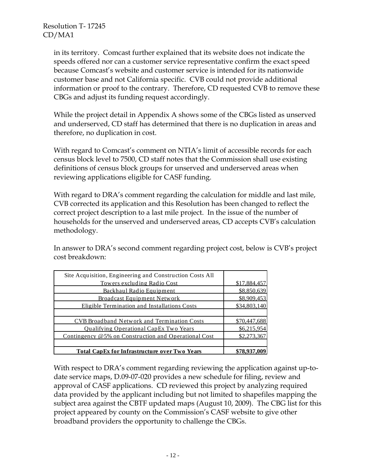in its territory. Comcast further explained that its website does not indicate the speeds offered nor can a customer service representative confirm the exact speed because Comcast's website and customer service is intended for its nationwide customer base and not California specific. CVB could not provide additional information or proof to the contrary. Therefore, CD requested CVB to remove these CBGs and adjust its funding request accordingly.

While the project detail in Appendix A shows some of the CBGs listed as unserved and underserved, CD staff has determined that there is no duplication in areas and therefore, no duplication in cost.

With regard to Comcast's comment on NTIA's limit of accessible records for each census block level to 7500, CD staff notes that the Commission shall use existing definitions of census block groups for unserved and underserved areas when reviewing applications eligible for CASF funding.

With regard to DRA's comment regarding the calculation for middle and last mile, CVB corrected its application and this Resolution has been changed to reflect the correct project description to a last mile project. In the issue of the number of households for the unserved and underserved areas, CD accepts CVB's calculation methodology.

In answer to DRA's second comment regarding project cost, below is CVB's project cost breakdown:

| Site Acquisition, Engineering and Construction Costs All |              |
|----------------------------------------------------------|--------------|
| Towers excluding Radio Cost                              | \$17,884,457 |
| Backhaul Radio Equipment                                 | \$8,850,639  |
| <b>Broadcast Equipment Network</b>                       | \$8,909,453  |
| Eligible Termination and Installations Costs             | \$34,803,140 |
|                                                          |              |
| <b>CVB Broadband Network and Termination Costs</b>       | \$70,447,688 |
| <b>Qualifying Operational CapEx Two Years</b>            | \$6,215,954  |
| Contingency @5% on Construction and Operational Cost     | \$2,273,367  |
|                                                          |              |
| <b>Total CapEx for Infrastructure over Two Years</b>     | \$78,937,009 |

With respect to DRA's comment regarding reviewing the application against up-todate service maps, D.09-07-020 provides a new schedule for filing, review and approval of CASF applications. CD reviewed this project by analyzing required data provided by the applicant including but not limited to shapefiles mapping the subject area against the CBTF updated maps (August 10, 2009). The CBG list for this project appeared by county on the Commission's CASF website to give other broadband providers the opportunity to challenge the CBGs.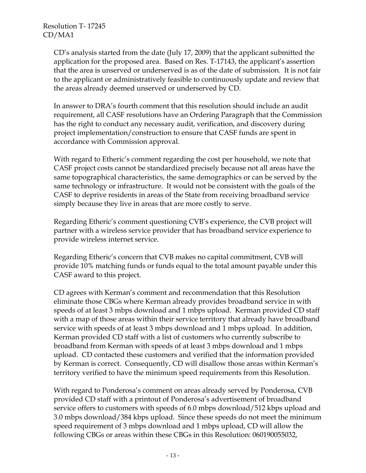CD's analysis started from the date (July 17, 2009) that the applicant submitted the application for the proposed area. Based on Res. T-17143, the applicant's assertion that the area is unserved or underserved is as of the date of submission. It is not fair to the applicant or administratively feasible to continuously update and review that the areas already deemed unserved or underserved by CD.

In answer to DRA's fourth comment that this resolution should include an audit requirement, all CASF resolutions have an Ordering Paragraph that the Commission has the right to conduct any necessary audit, verification, and discovery during project implementation/construction to ensure that CASF funds are spent in accordance with Commission approval.

With regard to Etheric's comment regarding the cost per household, we note that CASF project costs cannot be standardized precisely because not all areas have the same topographical characteristics, the same demographics or can be served by the same technology or infrastructure. It would not be consistent with the goals of the CASF to deprive residents in areas of the State from receiving broadband service simply because they live in areas that are more costly to serve.

Regarding Etheric's comment questioning CVB's experience, the CVB project will partner with a wireless service provider that has broadband service experience to provide wireless internet service.

Regarding Etheric's concern that CVB makes no capital commitment, CVB will provide 10% matching funds or funds equal to the total amount payable under this CASF award to this project.

CD agrees with Kerman's comment and recommendation that this Resolution eliminate those CBGs where Kerman already provides broadband service in with speeds of at least 3 mbps download and 1 mbps upload. Kerman provided CD staff with a map of those areas within their service territory that already have broadband service with speeds of at least 3 mbps download and 1 mbps upload. In addition, Kerman provided CD staff with a list of customers who currently subscribe to broadband from Kerman with speeds of at least 3 mbps download and 1 mbps upload. CD contacted these customers and verified that the information provided by Kerman is correct. Consequently, CD will disallow those areas within Kerman's territory verified to have the minimum speed requirements from this Resolution.

With regard to Ponderosa's comment on areas already served by Ponderosa, CVB provided CD staff with a printout of Ponderosa's advertisement of broadband service offers to customers with speeds of 6.0 mbps download/512 kbps upload and 3.0 mbps download/384 kbps upload. Since these speeds do not meet the minimum speed requirement of 3 mbps download and 1 mbps upload, CD will allow the following CBGs or areas within these CBGs in this Resolution: 060190055032,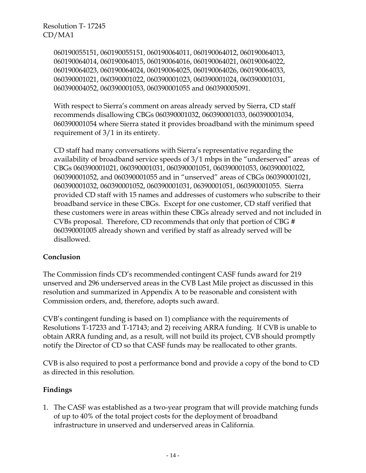> 060190055151, 060190055151, 060190064011, 060190064012, 060190064013, 060190064014, 060190064015, 060190064016, 060190064021, 060190064022, 060190064023, 060190064024, 060190064025, 060190064026, 060190064033, 060390001021, 060390001022, 060390001023, 060390001024, 060390001031, 060390004052, 060390001053, 060390001055 and 060390005091.

With respect to Sierra's comment on areas already served by Sierra, CD staff recommends disallowing CBGs 060390001032, 060390001033, 060390001034, 060390001054 where Sierra stated it provides broadband with the minimum speed requirement of 3/1 in its entirety.

CD staff had many conversations with Sierra's representative regarding the availability of broadband service speeds of 3/1 mbps in the "underserved" areas of CBGs 060390001021, 060390001031, 060390001051, 060390001053, 060390001022, 060390001052, and 060390001055 and in "unserved" areas of CBGs 060390001021, 060390001032, 060390001052, 060390001031, 06390001051, 060390001055. Sierra provided CD staff with 15 names and addresses of customers who subscribe to their broadband service in these CBGs. Except for one customer, CD staff verified that these customers were in areas within these CBGs already served and not included in CVBs proposal. Therefore, CD recommends that only that portion of CBG # 060390001005 already shown and verified by staff as already served will be disallowed.

### **Conclusion**

The Commission finds CD's recommended contingent CASF funds award for 219 unserved and 296 underserved areas in the CVB Last Mile project as discussed in this resolution and summarized in Appendix A to be reasonable and consistent with Commission orders, and, therefore, adopts such award.

CVB's contingent funding is based on 1) compliance with the requirements of Resolutions T-17233 and T-17143; and 2) receiving ARRA funding. If CVB is unable to obtain ARRA funding and, as a result, will not build its project, CVB should promptly notify the Director of CD so that CASF funds may be reallocated to other grants.

CVB is also required to post a performance bond and provide a copy of the bond to CD as directed in this resolution.

### **Findings**

1. The CASF was established as a two-year program that will provide matching funds of up to 40% of the total project costs for the deployment of broadband infrastructure in unserved and underserved areas in California.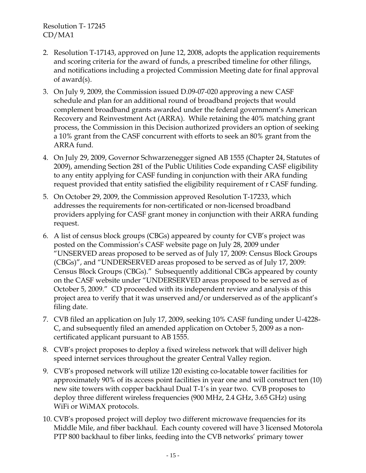- 2. Resolution T-17143, approved on June 12, 2008, adopts the application requirements and scoring criteria for the award of funds, a prescribed timeline for other filings, and notifications including a projected Commission Meeting date for final approval of award(s).
- 3. On July 9, 2009, the Commission issued D.09-07-020 approving a new CASF schedule and plan for an additional round of broadband projects that would complement broadband grants awarded under the federal government's American Recovery and Reinvestment Act (ARRA). While retaining the 40% matching grant process, the Commission in this Decision authorized providers an option of seeking a 10% grant from the CASF concurrent with efforts to seek an 80% grant from the ARRA fund.
- 4. On July 29, 2009, Governor Schwarzenegger signed AB 1555 (Chapter 24, Statutes of 2009), amending Section 281 of the Public Utilities Code expanding CASF eligibility to any entity applying for CASF funding in conjunction with their ARA funding request provided that entity satisfied the eligibility requirement of r CASF funding.
- 5. On October 29, 2009, the Commission approved Resolution T-17233, which addresses the requirements for non-certificated or non-licensed broadband providers applying for CASF grant money in conjunction with their ARRA funding request.
- 6. A list of census block groups (CBGs) appeared by county for CVB's project was posted on the Commission's CASF website page on July 28, 2009 under "UNSERVED areas proposed to be served as of July 17, 2009: Census Block Groups (CBGs)", and "UNDERSERVED areas proposed to be served as of July 17, 2009: Census Block Groups (CBGs)." Subsequently additional CBGs appeared by county on the CASF website under "UNDERSERVED areas proposed to be served as of October 5, 2009." CD proceeded with its independent review and analysis of this project area to verify that it was unserved and/or underserved as of the applicant's filing date.
- 7. CVB filed an application on July 17, 2009, seeking 10% CASF funding under U-4228- C, and subsequently filed an amended application on October 5, 2009 as a noncertificated applicant pursuant to AB 1555.
- 8. CVB's project proposes to deploy a fixed wireless network that will deliver high speed internet services throughout the greater Central Valley region.
- 9. CVB's proposed network will utilize 120 existing co-locatable tower facilities for approximately 90% of its access point facilities in year one and will construct ten (10) new site towers with copper backhaul Dual T-1's in year two. CVB proposes to deploy three different wireless frequencies (900 MHz, 2.4 GHz, 3.65 GHz) using WiFi or WiMAX protocols.
- 10. CVB's proposed project will deploy two different microwave frequencies for its Middle Mile, and fiber backhaul. Each county covered will have 3 licensed Motorola PTP 800 backhaul to fiber links, feeding into the CVB networks' primary tower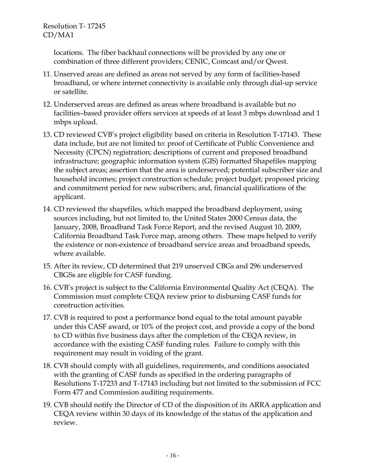locations. The fiber backhaul connections will be provided by any one or combination of three different providers; CENIC, Comcast and/or Qwest.

- 11. Unserved areas are defined as areas not served by any form of facilities-based broadband, or where internet connectivity is available only through dial-up service or satellite.
- 12. Underserved areas are defined as areas where broadband is available but no facilities–based provider offers services at speeds of at least 3 mbps download and 1 mbps upload.
- 13. CD reviewed CVB's project eligibility based on criteria in Resolution T-17143. These data include, but are not limited to: proof of Certificate of Public Convenience and Necessity (CPCN) registration; descriptions of current and proposed broadband infrastructure; geographic information system (GIS) formatted Shapefiles mapping the subject areas; assertion that the area is underserved; potential subscriber size and household incomes; project construction schedule; project budget; proposed pricing and commitment period for new subscribers; and, financial qualifications of the applicant.
- 14. CD reviewed the shapefiles, which mapped the broadband deployment, using sources including, but not limited to, the United States 2000 Census data, the January, 2008, Broadband Task Force Report, and the revised August 10, 2009, California Broadband Task Force map, among others. These maps helped to verify the existence or non-existence of broadband service areas and broadband speeds, where available.
- 15. After its review, CD determined that 219 unserved CBGs and 296 underserved CBGSs are eligible for CASF funding.
- 16. CVB's project is subject to the California Environmental Quality Act (CEQA). The Commission must complete CEQA review prior to disbursing CASF funds for construction activities.
- 17. CVB is required to post a performance bond equal to the total amount payable under this CASF award, or 10% of the project cost, and provide a copy of the bond to CD within five business days after the completion of the CEQA review, in accordance with the existing CASF funding rules. Failure to comply with this requirement may result in voiding of the grant.
- 18. CVB should comply with all guidelines, requirements, and conditions associated with the granting of CASF funds as specified in the ordering paragraphs of Resolutions T-17233 and T-17143 including but not limited to the submission of FCC Form 477 and Commission auditing requirements.
- 19. CVB should notify the Director of CD of the disposition of its ARRA application and CEQA review within 30 days of its knowledge of the status of the application and review.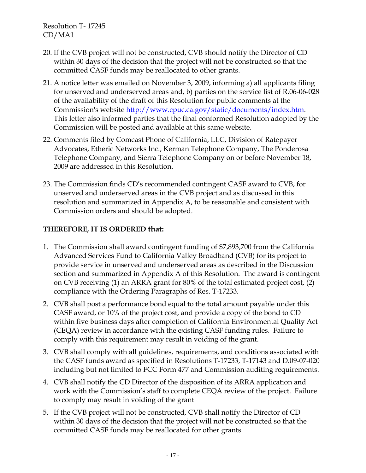- 20. If the CVB project will not be constructed, CVB should notify the Director of CD within 30 days of the decision that the project will not be constructed so that the committed CASF funds may be reallocated to other grants.
- 21. A notice letter was emailed on November 3, 2009, informing a) all applicants filing for unserved and underserved areas and, b) parties on the service list of R.06-06-028 of the availability of the draft of this Resolution for public comments at the Commission's website http://www.cpuc.ca.gov/static/documents/index.htm. This letter also informed parties that the final conformed Resolution adopted by the Commission will be posted and available at this same website.
- 22. Comments filed by Comcast Phone of California, LLC, Division of Ratepayer Advocates, Etheric Networks Inc., Kerman Telephone Company, The Ponderosa Telephone Company, and Sierra Telephone Company on or before November 18, 2009 are addressed in this Resolution.
- 23. The Commission finds CD's recommended contingent CASF award to CVB, for unserved and underserved areas in the CVB project and as discussed in this resolution and summarized in Appendix A, to be reasonable and consistent with Commission orders and should be adopted.

## **THEREFORE, IT IS ORDERED that:**

- 1. The Commission shall award contingent funding of \$7,893,700 from the California Advanced Services Fund to California Valley Broadband (CVB) for its project to provide service in unserved and underserved areas as described in the Discussion section and summarized in Appendix A of this Resolution. The award is contingent on CVB receiving (1) an ARRA grant for 80% of the total estimated project cost, (2) compliance with the Ordering Paragraphs of Res. T-17233.
- 2. CVB shall post a performance bond equal to the total amount payable under this CASF award, or 10% of the project cost, and provide a copy of the bond to CD within five business days after completion of California Environmental Quality Act (CEQA) review in accordance with the existing CASF funding rules. Failure to comply with this requirement may result in voiding of the grant.
- 3. CVB shall comply with all guidelines, requirements, and conditions associated with the CASF funds award as specified in Resolutions T-17233, T-17143 and D.09-07-020 including but not limited to FCC Form 477 and Commission auditing requirements.
- 4. CVB shall notify the CD Director of the disposition of its ARRA application and work with the Commission's staff to complete CEQA review of the project. Failure to comply may result in voiding of the grant
- 5. If the CVB project will not be constructed, CVB shall notify the Director of CD within 30 days of the decision that the project will not be constructed so that the committed CASF funds may be reallocated for other grants.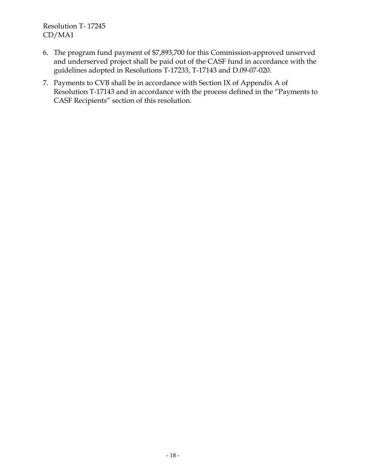- 6. The program fund payment of \$7,893,700 for this Commission-approved unserved and underserved project shall be paid out of the CASF fund in accordance with the guidelines adopted in Resolutions T-17233, T-17143 and D.09-07-020.
- 7. Payments to CVB shall be in accordance with Section IX of Appendix A of Resolution T-17143 and in accordance with the process defined in the "Payments to CASF Recipients" section of this resolution.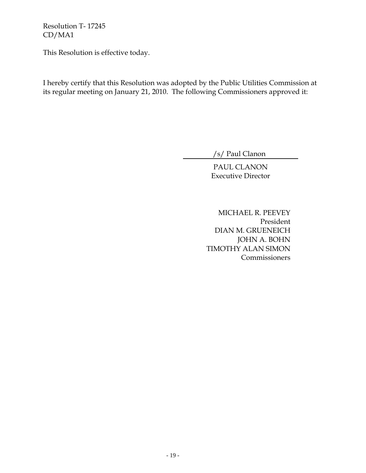This Resolution is effective today.

I hereby certify that this Resolution was adopted by the Public Utilities Commission at its regular meeting on January 21, 2010. The following Commissioners approved it:

/s/ Paul Clanon

PAUL CLANON Executive Director

MICHAEL R. PEEVEY President DIAN M. GRUENEICH JOHN A. BOHN TIMOTHY ALAN SIMON **Commissioners**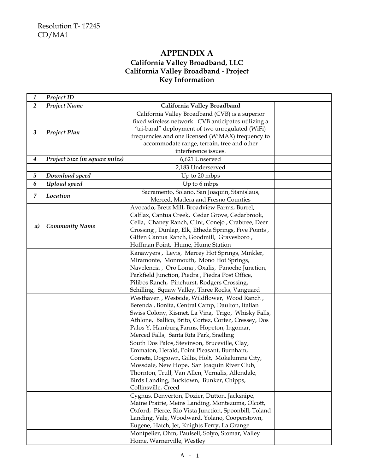## **APPENDIX A California Valley Broadband, LLC California Valley Broadband - Project Key Information**

| 1                | Project ID                     |                                                                                                                                                                                                                                                                                                                                               |  |
|------------------|--------------------------------|-----------------------------------------------------------------------------------------------------------------------------------------------------------------------------------------------------------------------------------------------------------------------------------------------------------------------------------------------|--|
| $\overline{2}$   | <b>Project Name</b>            | California Valley Broadband                                                                                                                                                                                                                                                                                                                   |  |
| 3                | Project Plan                   | California Valley Broadband (CVB) is a superior<br>fixed wireless network. CVB anticipates utilizing a<br>'tri-band" deployment of two unregulated (WiFi)<br>frequencies and one licensed (WiMAX) frequency to<br>accommodate range, terrain, tree and other<br>interference issues.                                                          |  |
| $\boldsymbol{4}$ | Project Size (in square miles) | 6,621 Unserved                                                                                                                                                                                                                                                                                                                                |  |
|                  |                                | 2,183 Underserved                                                                                                                                                                                                                                                                                                                             |  |
| $\sqrt{5}$       | Download speed                 | Up to 20 mbps                                                                                                                                                                                                                                                                                                                                 |  |
| 6                | Upload speed                   | Up to 6 mbps                                                                                                                                                                                                                                                                                                                                  |  |
| $\overline{7}$   | Location                       | Sacramento, Solano, San Joaquin, Stanislaus,<br>Merced, Madera and Fresno Counties                                                                                                                                                                                                                                                            |  |
| a)               | <b>Community Name</b>          | Avocado, Bretz Mill, Broadview Farms, Burrel,<br>Calflax, Cantua Creek, Cedar Grove, Cedarbrook,<br>Cella, Chaney Ranch, Clint, Conejo, Crabtree, Deer<br>Crossing, Dunlap, Elk, Etheda Springs, Five Points,<br>Giffen Cantua Ranch, Goodmill, Gravesboro,<br>Hoffman Point, Hume, Hume Station                                              |  |
|                  |                                | Kanawyers, Levis, Mercey Hot Springs, Minkler,<br>Miramonte, Monmouth, Mono Hot Springs,<br>Navelencia, Oro Loma, Oxalis, Panoche Junction,<br>Parkfield Junction, Piedra, Piedra Post Office,<br>Pilibos Ranch, Pinehurst, Rodgers Crossing,<br>Schilling, Squaw Valley, Three Rocks, Vanguard                                               |  |
|                  |                                | Westhaven, Westside, Wildflower, Wood Ranch,<br>Berenda, Bonita, Central Camp, Daulton, Italian<br>Swiss Colony, Kismet, La Vina, Trigo, Whisky Falls,<br>Athlone, Ballico, Brito, Cortez, Cortez, Cressey, Dos<br>Palos Y, Hamburg Farms, Hopeton, Ingomar,<br>Merced Falls, Santa Rita Park, Snelling                                       |  |
|                  |                                | South Dos Palos, Stevinson, Bruceville, Clay,<br>Emmaton, Herald, Point Pleasant, Burnham,<br>Cometa, Dogtown, Gillis, Holt, Mokelumne City,<br>Mossdale, New Hope, San Joaquin River Club,<br>Thornton, Trull, Van Allen, Vernalis, Allendale,<br>Birds Landing, Bucktown, Bunker, Chipps,<br>Collinsville, Creed                            |  |
|                  |                                | Cygnus, Denverton, Dozier, Dutton, Jacksnipe,<br>Maine Prairie, Meins Landing, Montezuma, Olcott,<br>Oxford, Pierce, Rio Vista Junction, Spoonbill, Toland<br>Landing, Vale, Woodward, Yolano, Cooperstown,<br>Eugene, Hatch, Jet, Knights Ferry, La Grange<br>Montpelier, Ohm, Paulsell, Solyo, Stomar, Valley<br>Home, Warnerville, Westley |  |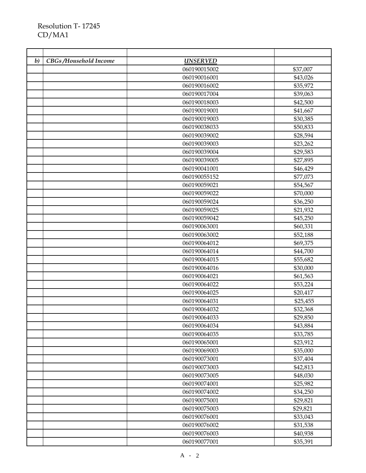| $\boldsymbol{b}$ | CBGs/Household Income | <b>UNSERVED</b> |          |
|------------------|-----------------------|-----------------|----------|
|                  |                       | 060190015002    | \$37,007 |
|                  |                       | 060190016001    | \$43,026 |
|                  |                       | 060190016002    | \$35,972 |
|                  |                       | 060190017004    | \$39,063 |
|                  |                       | 060190018003    | \$42,500 |
|                  |                       | 060190019001    | \$41,667 |
|                  |                       | 060190019003    | \$30,385 |
|                  |                       | 060190038033    | \$50,833 |
|                  |                       | 060190039002    | \$28,594 |
|                  |                       | 060190039003    | \$23,262 |
|                  |                       | 060190039004    | \$29,583 |
|                  |                       | 060190039005    | \$27,895 |
|                  |                       | 060190041001    | \$46,429 |
|                  |                       | 060190055152    | \$77,073 |
|                  |                       | 060190059021    | \$54,567 |
|                  |                       | 060190059022    | \$70,000 |
|                  |                       | 060190059024    | \$36,250 |
|                  |                       | 060190059025    | \$21,932 |
|                  |                       | 060190059042    | \$45,250 |
|                  |                       | 060190063001    | \$60,331 |
|                  |                       | 060190063002    | \$52,188 |
|                  |                       | 060190064012    | \$69,375 |
|                  |                       | 060190064014    | \$44,700 |
|                  |                       | 060190064015    | \$55,682 |
|                  |                       | 060190064016    | \$30,000 |
|                  |                       | 060190064021    | \$61,563 |
|                  |                       | 060190064022    | \$53,224 |
|                  |                       | 060190064025    | \$20,417 |
|                  |                       | 060190064031    | \$25,455 |
|                  |                       | 060190064032    | \$32,368 |
|                  |                       | 060190064033    | \$29,850 |
|                  |                       | 060190064034    | \$43,884 |
|                  |                       | 060190064035    | \$33,785 |
|                  |                       | 060190065001    | \$23,912 |
|                  |                       | 060190069003    | \$35,000 |
|                  |                       | 060190073001    | \$37,404 |
|                  |                       | 060190073003    | \$42,813 |
|                  |                       | 060190073005    | \$48,030 |
|                  |                       | 060190074001    | \$25,982 |
|                  |                       | 060190074002    | \$34,250 |
|                  |                       | 060190075001    | \$29,821 |
|                  |                       | 060190075003    | \$29,821 |
|                  |                       | 060190076001    | \$33,043 |
|                  |                       | 060190076002    | \$31,538 |
|                  |                       | 060190076003    | \$40,938 |
|                  |                       | 060190077001    | \$35,391 |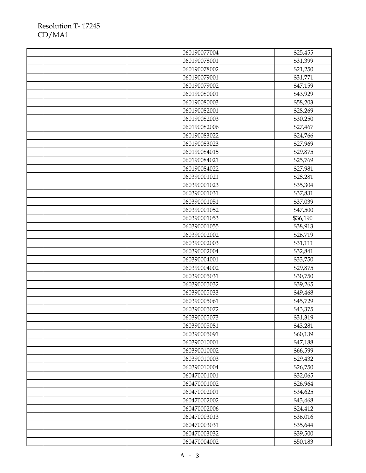|  | 060190077004 | \$25,455 |
|--|--------------|----------|
|  | 060190078001 | \$31,399 |
|  | 060190078002 | \$21,250 |
|  | 060190079001 | \$31,771 |
|  | 060190079002 | \$47,159 |
|  | 060190080001 | \$43,929 |
|  | 060190080003 | \$58,203 |
|  | 060190082001 | \$28,269 |
|  | 060190082003 | \$30,250 |
|  | 060190082006 | \$27,467 |
|  | 060190083022 | \$24,766 |
|  | 060190083023 | \$27,969 |
|  | 060190084015 | \$29,875 |
|  | 060190084021 | \$25,769 |
|  | 060190084022 | \$27,981 |
|  | 060390001021 | \$28,281 |
|  | 060390001023 | \$35,304 |
|  | 060390001031 | \$37,831 |
|  | 060390001051 | \$37,039 |
|  | 060390001052 | \$47,500 |
|  | 060390001053 | \$36,190 |
|  | 060390001055 | \$38,913 |
|  | 060390002002 | \$26,719 |
|  | 060390002003 | \$31,111 |
|  | 060390002004 | \$32,841 |
|  | 060390004001 | \$33,750 |
|  | 060390004002 | \$29,875 |
|  | 060390005031 | \$30,750 |
|  | 060390005032 | \$39,265 |
|  | 060390005033 | \$49,468 |
|  | 060390005061 | \$45,729 |
|  | 060390005072 | \$43,375 |
|  | 060390005073 | \$31,319 |
|  | 060390005081 | \$43,281 |
|  | 060390005091 | \$60,139 |
|  | 060390010001 | \$47,188 |
|  | 060390010002 | \$66,599 |
|  | 060390010003 | \$29,432 |
|  | 060390010004 | \$26,750 |
|  | 060470001001 | \$32,065 |
|  | 060470001002 | \$26,964 |
|  | 060470002001 | \$34,625 |
|  | 060470002002 | \$43,468 |
|  | 060470002006 | \$24,412 |
|  | 060470003013 | \$36,016 |
|  | 060470003031 | \$35,644 |
|  | 060470003032 | \$39,500 |
|  | 060470004002 | \$50,183 |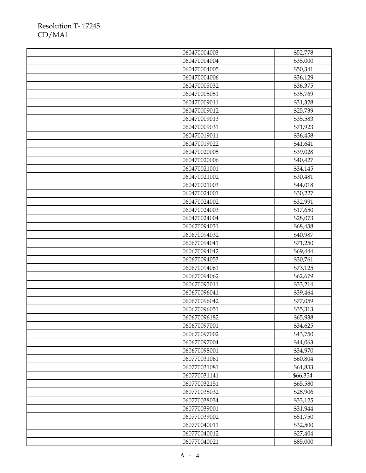| 060470004003 | \$52,778 |
|--------------|----------|
| 060470004004 | \$35,000 |
| 060470004005 | \$50,341 |
| 060470004006 | \$36,129 |
| 060470005032 | \$36,375 |
| 060470005051 | \$35,769 |
| 060470009011 | \$31,328 |
| 060470009012 | \$25,739 |
| 060470009013 | \$35,583 |
| 060470009031 | \$71,923 |
| 060470019011 | \$36,458 |
| 060470019022 | \$41,641 |
| 060470020005 | \$39,028 |
| 060470020006 | \$40,427 |
| 060470021001 | \$34,145 |
| 060470021002 | \$30,481 |
| 060470021003 | \$44,018 |
| 060470024001 | \$30,227 |
| 060470024002 | \$32,991 |
| 060470024003 | \$17,650 |
| 060470024004 | \$28,073 |
| 060670094031 | \$68,438 |
| 060670094032 | \$40,987 |
| 060670094041 | \$71,250 |
| 060670094042 | \$69,444 |
| 060670094053 | \$30,761 |
| 060670094061 | \$73,125 |
| 060670094062 | \$62,679 |
| 060670095011 | \$33,214 |
| 060670096041 | \$39,464 |
| 060670096042 | \$77,059 |
| 060670096051 | \$35,313 |
| 060670096182 | \$65,938 |
| 060670097001 | \$34,625 |
| 060670097002 | \$43,750 |
| 060670097004 | \$44,063 |
| 060670098001 | \$34,970 |
| 060770031061 | \$60,804 |
| 060770031081 | \$64,833 |
| 060770031141 | \$66,354 |
| 060770032151 | \$65,580 |
| 060770038032 | \$28,906 |
| 060770038034 | \$33,125 |
| 060770039001 | \$31,944 |
| 060770039002 | \$51,750 |
| 060770040011 | \$32,500 |
| 060770040012 | \$27,404 |
| 060770040021 | \$85,000 |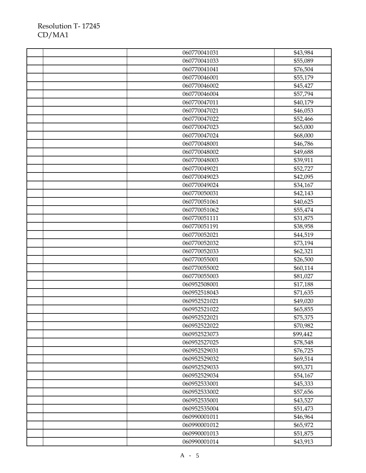|  | 060770041031 | \$43,984 |
|--|--------------|----------|
|  | 060770041033 | \$55,089 |
|  | 060770041041 | \$76,504 |
|  | 060770046001 | \$55,179 |
|  | 060770046002 | \$45,427 |
|  | 060770046004 | \$57,794 |
|  | 060770047011 | \$40,179 |
|  | 060770047021 | \$46,053 |
|  | 060770047022 | \$52,466 |
|  | 060770047023 | \$65,000 |
|  | 060770047024 | \$68,000 |
|  | 060770048001 | \$46,786 |
|  | 060770048002 | \$49,688 |
|  | 060770048003 | \$39,911 |
|  | 060770049021 | \$52,727 |
|  | 060770049023 | \$42,095 |
|  | 060770049024 | \$34,167 |
|  | 060770050031 | \$42,143 |
|  | 060770051061 | \$40,625 |
|  | 060770051062 | \$55,474 |
|  | 060770051111 | \$31,875 |
|  | 060770051191 | \$38,958 |
|  | 060770052021 | \$44,519 |
|  | 060770052032 | \$73,194 |
|  | 060770052033 | \$62,321 |
|  | 060770055001 | \$26,500 |
|  | 060770055002 | \$60,114 |
|  | 060770055003 | \$81,027 |
|  | 060952508001 | \$17,188 |
|  | 060952518043 | \$71,635 |
|  | 060952521021 | \$49,020 |
|  | 060952521022 | \$65,855 |
|  | 060952522021 | \$75,375 |
|  | 060952522022 | \$70,982 |
|  | 060952523073 | \$99,442 |
|  | 060952527025 | \$78,548 |
|  | 060952529031 | \$76,725 |
|  | 060952529032 | \$69,514 |
|  | 060952529033 | \$93,371 |
|  | 060952529034 | \$54,167 |
|  | 060952533001 | \$45,333 |
|  | 060952533002 | \$57,656 |
|  | 060952535001 | \$43,527 |
|  | 060952535004 | \$51,473 |
|  | 060990001011 | \$46,964 |
|  | 060990001012 | \$65,972 |
|  | 060990001013 | \$51,875 |
|  | 060990001014 | \$43,913 |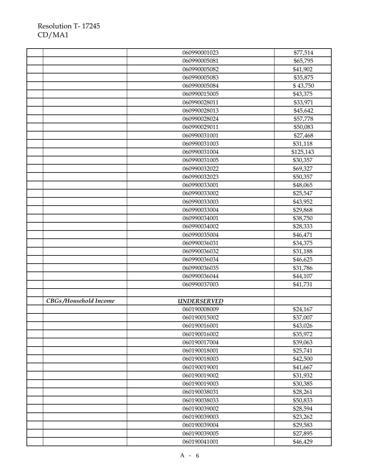|                       | 060990001023       | \$77,514             |
|-----------------------|--------------------|----------------------|
|                       | 060990005081       | \$65,795             |
|                       | 060990005082       | \$41,902             |
|                       | 060990005083       | \$35,875             |
|                       | 060990005084       | \$43,750             |
|                       | 060990015005       | \$43,375             |
|                       | 060990028011       | \$33,971             |
|                       | 060990028013       | \$45,642             |
|                       | 060990028024       | \$57,778             |
|                       | 060990029011       | \$50,083             |
|                       | 060990031001       | \$27,468             |
|                       | 060990031003       | \$31,118             |
|                       | 060990031004       | \$125,143            |
|                       | 060990031005       | \$30,357             |
|                       | 060990032022       | \$69,327             |
|                       | 060990032023       | \$50,357             |
|                       | 060990033001       | \$48,065             |
|                       | 060990033002       | \$25,547             |
|                       | 060990033003       | \$43,952             |
|                       | 060990033004       | \$29,868             |
|                       | 060990034001       | \$38,750             |
|                       | 060990034002       | \$28,333             |
|                       | 060990035004       | \$46,471             |
|                       | 060990036031       | \$34,375             |
|                       | 060990036032       | \$31,188             |
|                       | 060990036034       | \$46,625             |
|                       | 060990036035       | \$31,786             |
|                       | 060990036044       | \$44,107             |
|                       | 060990037003       | \$41,731             |
|                       |                    |                      |
| CBGs/Household Income | <b>UNDERSERVED</b> |                      |
|                       | 060190008009       | \$24,167             |
|                       | 060190015002       | \$37,007             |
|                       | 060190016001       | \$43,026             |
|                       | 060190016002       | \$35,972             |
|                       | 060190017004       | \$39,063             |
|                       | 060190018001       | \$25,741             |
|                       | 060190018003       | \$42,500             |
|                       | 060190019001       | \$41,667             |
|                       | 060190019002       | \$31,932             |
|                       | 060190019003       | \$30,385             |
|                       | 060190038031       | \$28,261             |
|                       | 060190038033       | \$50,833             |
|                       | 060190039002       | \$28,594             |
|                       | 060190039003       | \$23,262             |
|                       | 060190039004       |                      |
|                       | 060190039005       | \$29,583<br>\$27,895 |
|                       | 060190041001       |                      |
|                       |                    | \$46,429             |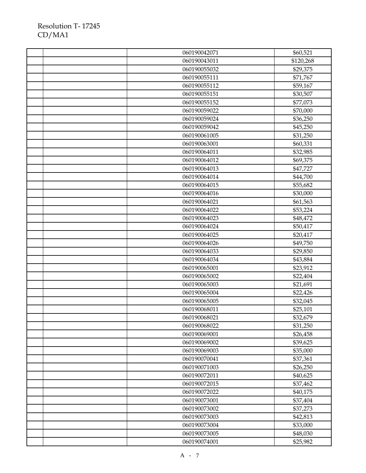|  | 060190042071 | \$60,521  |
|--|--------------|-----------|
|  | 060190043011 | \$120,268 |
|  | 060190055032 | \$29,375  |
|  | 060190055111 | \$71,767  |
|  | 060190055112 | \$59,167  |
|  | 060190055151 | \$30,507  |
|  | 060190055152 | \$77,073  |
|  | 060190059022 | \$70,000  |
|  | 060190059024 | \$36,250  |
|  | 060190059042 | \$45,250  |
|  | 060190061005 | \$31,250  |
|  | 060190063001 | \$60,331  |
|  | 060190064011 | \$32,985  |
|  | 060190064012 | \$69,375  |
|  | 060190064013 | \$47,727  |
|  | 060190064014 | \$44,700  |
|  | 060190064015 | \$55,682  |
|  | 060190064016 | \$30,000  |
|  | 060190064021 | \$61,563  |
|  | 060190064022 | \$53,224  |
|  | 060190064023 | \$48,472  |
|  | 060190064024 | \$50,417  |
|  | 060190064025 | \$20,417  |
|  | 060190064026 | \$49,750  |
|  | 060190064033 | \$29,850  |
|  | 060190064034 | \$43,884  |
|  | 060190065001 | \$23,912  |
|  | 060190065002 | \$22,404  |
|  | 060190065003 | \$21,691  |
|  | 060190065004 | \$22,426  |
|  | 060190065005 | \$32,045  |
|  | 060190068011 | \$25,101  |
|  | 060190068021 | \$32,679  |
|  | 060190068022 | \$31,250  |
|  | 060190069001 | \$26,458  |
|  | 060190069002 | \$39,625  |
|  | 060190069003 | \$35,000  |
|  | 060190070041 | \$37,361  |
|  | 060190071003 | \$26,250  |
|  | 060190072011 | \$40,625  |
|  | 060190072015 | \$37,462  |
|  | 060190072022 | \$40,175  |
|  | 060190073001 | \$37,404  |
|  | 060190073002 | \$37,273  |
|  | 060190073003 | \$42,813  |
|  | 060190073004 | \$33,000  |
|  | 060190073005 | \$48,030  |
|  | 060190074001 | \$25,982  |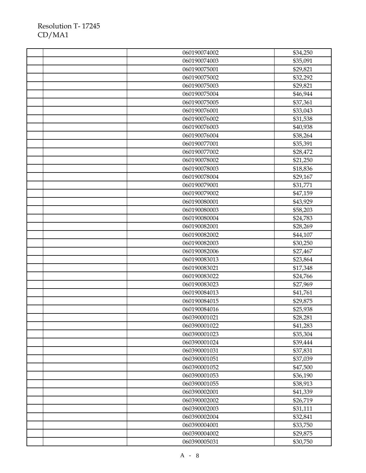|  | 060190074002 | \$34,250 |
|--|--------------|----------|
|  | 060190074003 | \$35,091 |
|  | 060190075001 | \$29,821 |
|  | 060190075002 | \$32,292 |
|  | 060190075003 | \$29,821 |
|  | 060190075004 | \$46,944 |
|  | 060190075005 | \$37,361 |
|  | 060190076001 | \$33,043 |
|  | 060190076002 | \$31,538 |
|  | 060190076003 | \$40,938 |
|  | 060190076004 | \$38,264 |
|  | 060190077001 | \$35,391 |
|  | 060190077002 | \$28,472 |
|  | 060190078002 | \$21,250 |
|  | 060190078003 | \$18,836 |
|  | 060190078004 | \$29,167 |
|  | 060190079001 | \$31,771 |
|  | 060190079002 | \$47,159 |
|  | 060190080001 | \$43,929 |
|  | 060190080003 | \$58,203 |
|  | 060190080004 | \$24,783 |
|  | 060190082001 | \$28,269 |
|  | 060190082002 | \$44,107 |
|  | 060190082003 | \$30,250 |
|  | 060190082006 | \$27,467 |
|  | 060190083013 | \$23,864 |
|  | 060190083021 | \$17,348 |
|  | 060190083022 | \$24,766 |
|  | 060190083023 | \$27,969 |
|  | 060190084013 | \$41,761 |
|  | 060190084015 | \$29,875 |
|  | 060190084016 | \$25,938 |
|  | 060390001021 | \$28,281 |
|  | 060390001022 | \$41,283 |
|  | 060390001023 | \$35,304 |
|  | 060390001024 | \$39,444 |
|  | 060390001031 | \$37,831 |
|  | 060390001051 | \$37,039 |
|  | 060390001052 | \$47,500 |
|  | 060390001053 | \$36,190 |
|  | 060390001055 | \$38,913 |
|  | 060390002001 | \$41,339 |
|  | 060390002002 | \$26,719 |
|  | 060390002003 | \$31,111 |
|  | 060390002004 | \$32,841 |
|  | 060390004001 | \$33,750 |
|  | 060390004002 | \$29,875 |
|  | 060390005031 | \$30,750 |
|  |              |          |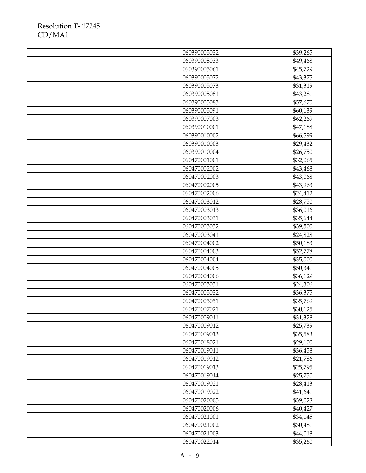|  | 060390005032 | \$39,265 |
|--|--------------|----------|
|  | 060390005033 | \$49,468 |
|  | 060390005061 | \$45,729 |
|  | 060390005072 | \$43,375 |
|  | 060390005073 | \$31,319 |
|  | 060390005081 | \$43,281 |
|  | 060390005083 | \$57,670 |
|  | 060390005091 | \$60,139 |
|  | 060390007003 | \$62,269 |
|  | 060390010001 | \$47,188 |
|  | 060390010002 | \$66,599 |
|  | 060390010003 | \$29,432 |
|  | 060390010004 | \$26,750 |
|  | 060470001001 | \$32,065 |
|  | 060470002002 | \$43,468 |
|  | 060470002003 | \$43,068 |
|  | 060470002005 | \$43,963 |
|  | 060470002006 | \$24,412 |
|  | 060470003012 | \$28,750 |
|  | 060470003013 | \$36,016 |
|  | 060470003031 | \$35,644 |
|  | 060470003032 | \$39,500 |
|  | 060470003041 | \$24,828 |
|  | 060470004002 | \$50,183 |
|  | 060470004003 | \$52,778 |
|  | 060470004004 | \$35,000 |
|  | 060470004005 | \$50,341 |
|  | 060470004006 | \$36,129 |
|  | 060470005031 | \$24,306 |
|  | 060470005032 | \$36,375 |
|  | 060470005051 | \$35,769 |
|  | 060470007021 | \$30,125 |
|  | 060470009011 | \$31,328 |
|  | 060470009012 | \$25,739 |
|  | 060470009013 | \$35,583 |
|  | 060470018021 | \$29,100 |
|  | 060470019011 | \$36,458 |
|  | 060470019012 | \$21,786 |
|  | 060470019013 | \$25,795 |
|  | 060470019014 | \$25,750 |
|  | 060470019021 | \$28,413 |
|  | 060470019022 | \$41,641 |
|  | 060470020005 | \$39,028 |
|  | 060470020006 | \$40,427 |
|  | 060470021001 | \$34,145 |
|  | 060470021002 | \$30,481 |
|  | 060470021003 | \$44,018 |
|  | 060470022014 | \$35,260 |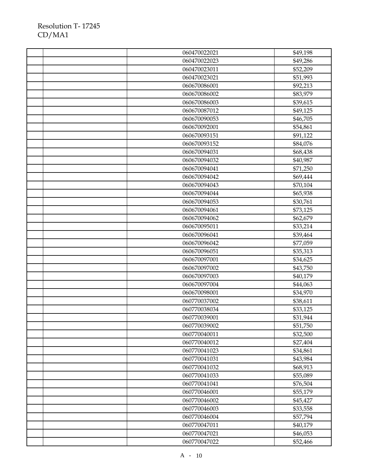|  | 060470022021 | \$49,198             |
|--|--------------|----------------------|
|  | 060470022023 | \$49,286             |
|  | 060470023011 | \$52,209             |
|  | 060470023021 | \$51,993             |
|  | 060670086001 | \$92,213             |
|  | 060670086002 | \$83,979             |
|  | 060670086003 | \$39,615             |
|  | 060670087012 | \$49,125             |
|  | 060670090053 | \$46,705             |
|  | 060670092001 | \$54,861             |
|  | 060670093151 | \$91,122             |
|  | 060670093152 | \$84,076             |
|  | 060670094031 | \$68,438             |
|  | 060670094032 | \$40,987             |
|  | 060670094041 | \$71,250             |
|  | 060670094042 | \$69,444             |
|  | 060670094043 | \$70,104             |
|  | 060670094044 | \$65,938             |
|  | 060670094053 | \$30,761             |
|  | 060670094061 | \$73,125             |
|  | 060670094062 | \$62,679             |
|  | 060670095011 | \$33,214             |
|  | 060670096041 | \$39,464             |
|  | 060670096042 | \$77,059             |
|  | 060670096051 | \$35,313             |
|  | 060670097001 | \$34,625             |
|  | 060670097002 | \$43,750             |
|  | 060670097003 | \$40,179             |
|  | 060670097004 | \$44,063             |
|  | 060670098001 | \$34,970             |
|  | 060770037002 | \$38,611             |
|  | 060770038034 | \$33,125             |
|  | 060770039001 | \$31,944             |
|  | 060770039002 | \$51,750             |
|  | 060770040011 | \$32,500             |
|  | 060770040012 | \$27,404             |
|  | 060770041023 | \$34,861             |
|  | 060770041031 | \$43,984             |
|  | 060770041032 | \$68,913             |
|  | 060770041033 | \$55,089             |
|  | 060770041041 |                      |
|  | 060770046001 | \$76,504<br>\$55,179 |
|  |              |                      |
|  | 060770046002 | \$45,427             |
|  | 060770046003 | \$33,558             |
|  | 060770046004 | \$57,794             |
|  | 060770047011 | \$40,179             |
|  | 060770047021 | \$46,053             |
|  | 060770047022 | \$52,466             |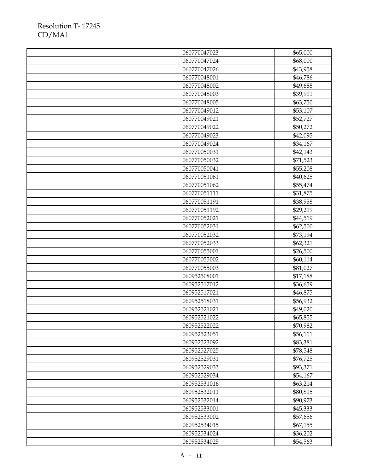|  | 060770047023 | \$65,000 |
|--|--------------|----------|
|  | 060770047024 | \$68,000 |
|  | 060770047026 | \$43,958 |
|  | 060770048001 | \$46,786 |
|  | 060770048002 | \$49,688 |
|  | 060770048003 | \$39,911 |
|  | 060770048005 | \$63,750 |
|  | 060770049012 | \$53,107 |
|  | 060770049021 | \$52,727 |
|  | 060770049022 | \$50,272 |
|  | 060770049023 | \$42,095 |
|  | 060770049024 | \$34,167 |
|  | 060770050031 | \$42,143 |
|  | 060770050032 | \$71,523 |
|  | 060770050041 | \$55,208 |
|  | 060770051061 | \$40,625 |
|  | 060770051062 | \$55,474 |
|  | 060770051111 | \$31,875 |
|  | 060770051191 | \$38,958 |
|  | 060770051192 | \$29,219 |
|  | 060770052021 | \$44,519 |
|  | 060770052031 | \$62,500 |
|  | 060770052032 | \$73,194 |
|  | 060770052033 | \$62,321 |
|  | 060770055001 | \$26,500 |
|  | 060770055002 | \$60,114 |
|  | 060770055003 | \$81,027 |
|  | 060952508001 | \$17,188 |
|  | 060952517012 | \$36,659 |
|  | 060952517021 | \$46,875 |
|  | 060952518031 | \$56,932 |
|  | 060952521021 | \$49,020 |
|  | 060952521022 | \$65,855 |
|  | 060952522022 | \$70,982 |
|  | 060952523051 | \$56,111 |
|  | 060952523092 | \$83,381 |
|  | 060952527025 | \$78,548 |
|  | 060952529031 | \$76,725 |
|  | 060952529033 | \$93,371 |
|  | 060952529034 | \$54,167 |
|  | 060952531016 | \$63,214 |
|  | 060952532011 | \$80,815 |
|  | 060952532014 | \$90,973 |
|  | 060952533001 | \$45,333 |
|  | 060952533002 | \$57,656 |
|  | 060952534015 | \$67,155 |
|  | 060952534024 | \$36,202 |
|  | 060952534025 | \$54,563 |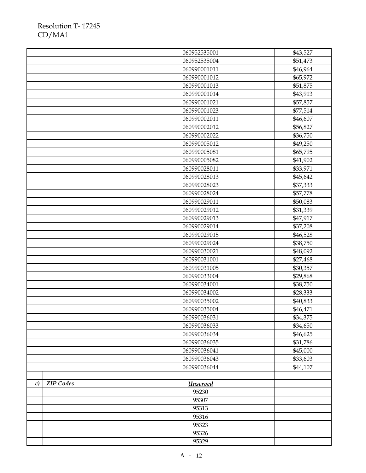|               |                  | 060952535001 | \$43,527 |
|---------------|------------------|--------------|----------|
|               |                  | 060952535004 | \$51,473 |
|               |                  | 060990001011 | \$46,964 |
|               |                  | 060990001012 | \$65,972 |
|               |                  | 060990001013 | \$51,875 |
|               |                  | 060990001014 | \$43,913 |
|               |                  | 060990001021 | \$57,857 |
|               |                  | 060990001023 | \$77,514 |
|               |                  | 060990002011 | \$46,607 |
|               |                  | 060990002012 | \$56,827 |
|               |                  | 060990002022 | \$36,750 |
|               |                  | 060990005012 | \$49,250 |
|               |                  | 060990005081 | \$65,795 |
|               |                  | 060990005082 | \$41,902 |
|               |                  | 060990028011 | \$33,971 |
|               |                  | 060990028013 | \$45,642 |
|               |                  | 060990028023 | \$37,333 |
|               |                  | 060990028024 | \$57,778 |
|               |                  | 060990029011 | \$50,083 |
|               |                  | 060990029012 | \$31,339 |
|               |                  | 060990029013 | \$47,917 |
|               |                  | 060990029014 | \$37,208 |
|               |                  | 060990029015 | \$46,528 |
|               |                  | 060990029024 | \$38,750 |
|               |                  | 060990030021 | \$48,092 |
|               |                  | 060990031001 | \$27,468 |
|               |                  | 060990031005 | \$30,357 |
|               |                  | 060990033004 | \$29,868 |
|               |                  | 060990034001 | \$38,750 |
|               |                  | 060990034002 | \$28,333 |
|               |                  | 060990035002 | \$40,833 |
|               |                  | 060990035004 | \$46,471 |
|               |                  | 060990036031 | \$34,375 |
|               |                  | 060990036033 | \$34,650 |
|               |                  | 060990036034 | \$46,625 |
|               |                  | 060990036035 | \$31,786 |
|               |                  | 060990036041 | \$45,000 |
|               |                  | 060990036043 | \$33,603 |
|               |                  | 060990036044 | \$44,107 |
|               |                  |              |          |
| $\mathcal{C}$ | <b>ZIP</b> Codes | Unserved     |          |
|               |                  | 95230        |          |
|               |                  | 95307        |          |
|               |                  | 95313        |          |
|               |                  | 95316        |          |
|               |                  | 95323        |          |
|               |                  | 95326        |          |
|               |                  | 95329        |          |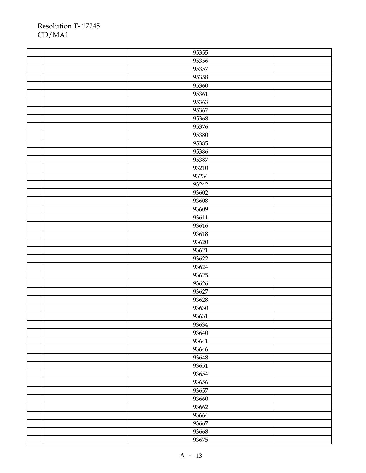| 95355 |  |
|-------|--|
| 95356 |  |
| 95357 |  |
| 95358 |  |
| 95360 |  |
| 95361 |  |
| 95363 |  |
| 95367 |  |
| 95368 |  |
| 95376 |  |
| 95380 |  |
| 95385 |  |
| 95386 |  |
| 95387 |  |
| 93210 |  |
| 93234 |  |
| 93242 |  |
| 93602 |  |
| 93608 |  |
| 93609 |  |
| 93611 |  |
| 93616 |  |
| 93618 |  |
| 93620 |  |
| 93621 |  |
| 93622 |  |
| 93624 |  |
| 93625 |  |
| 93626 |  |
| 93627 |  |
| 93628 |  |
| 93630 |  |
| 93631 |  |
| 93634 |  |
| 93640 |  |
| 93641 |  |
| 93646 |  |
| 93648 |  |
| 93651 |  |
| 93654 |  |
| 93656 |  |
| 93657 |  |
| 93660 |  |
| 93662 |  |
| 93664 |  |
| 93667 |  |
| 93668 |  |
| 93675 |  |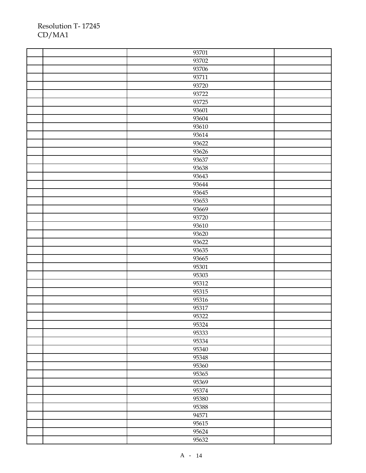| 93701 |  |
|-------|--|
| 93702 |  |
| 93706 |  |
| 93711 |  |
| 93720 |  |
| 93722 |  |
| 93725 |  |
| 93601 |  |
| 93604 |  |
| 93610 |  |
| 93614 |  |
| 93622 |  |
| 93626 |  |
| 93637 |  |
| 93638 |  |
| 93643 |  |
| 93644 |  |
| 93645 |  |
| 93653 |  |
| 93669 |  |
| 93720 |  |
| 93610 |  |
| 93620 |  |
| 93622 |  |
| 93635 |  |
| 93665 |  |
| 95301 |  |
| 95303 |  |
| 95312 |  |
| 95315 |  |
| 95316 |  |
| 95317 |  |
| 95322 |  |
| 95324 |  |
| 95333 |  |
| 95334 |  |
| 95340 |  |
| 95348 |  |
| 95360 |  |
| 95365 |  |
| 95369 |  |
| 95374 |  |
| 95380 |  |
| 95388 |  |
| 94571 |  |
| 95615 |  |
| 95624 |  |
| 95632 |  |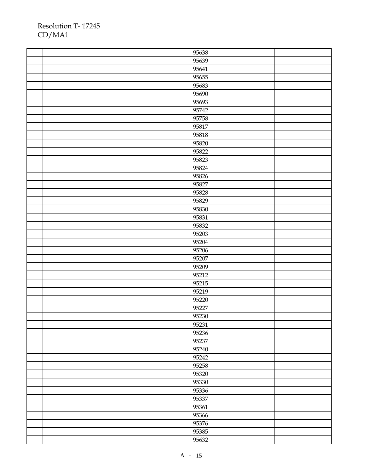| 95638 |  |
|-------|--|
| 95639 |  |
| 95641 |  |
| 95655 |  |
| 95683 |  |
| 95690 |  |
| 95693 |  |
| 95742 |  |
| 95758 |  |
| 95817 |  |
| 95818 |  |
| 95820 |  |
| 95822 |  |
| 95823 |  |
| 95824 |  |
| 95826 |  |
| 95827 |  |
| 95828 |  |
| 95829 |  |
| 95830 |  |
| 95831 |  |
| 95832 |  |
| 95203 |  |
| 95204 |  |
| 95206 |  |
| 95207 |  |
| 95209 |  |
| 95212 |  |
| 95215 |  |
| 95219 |  |
| 95220 |  |
| 95227 |  |
| 95230 |  |
| 95231 |  |
| 95236 |  |
| 95237 |  |
| 95240 |  |
| 95242 |  |
| 95258 |  |
| 95320 |  |
| 95330 |  |
| 95336 |  |
| 95337 |  |
| 95361 |  |
| 95366 |  |
| 95376 |  |
| 95385 |  |
| 95632 |  |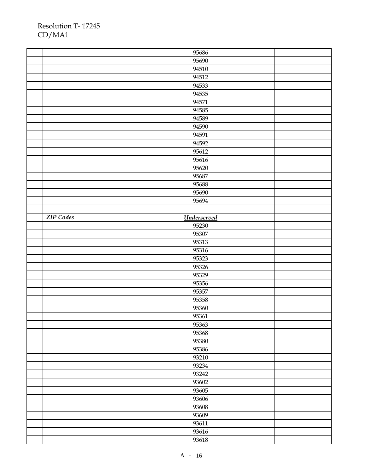|                  | 95686              |  |
|------------------|--------------------|--|
|                  | 95690              |  |
|                  | 94510              |  |
|                  | 94512              |  |
|                  | 94533              |  |
|                  | 94535              |  |
|                  | 94571              |  |
|                  | 94585              |  |
|                  | 94589              |  |
|                  | 94590              |  |
|                  | 94591              |  |
|                  | 94592              |  |
|                  | 95612              |  |
|                  | 95616              |  |
|                  | 95620              |  |
|                  | 95687              |  |
|                  | 95688              |  |
|                  | 95690              |  |
|                  | 95694              |  |
|                  |                    |  |
| <b>ZIP</b> Codes | <b>Underserved</b> |  |
|                  | 95230              |  |
|                  | 95307              |  |
|                  | 95313              |  |
|                  | 95316              |  |
|                  | 95323              |  |
|                  | 95326              |  |
|                  | 95329              |  |
|                  | 95356              |  |
|                  |                    |  |
|                  |                    |  |
|                  | 95357<br>95358     |  |
|                  |                    |  |
|                  | 95360              |  |
|                  | 95361              |  |
|                  | 95363              |  |
|                  | 95368<br>95380     |  |
|                  | 95386              |  |
|                  | 93210              |  |
|                  | 93234              |  |
|                  | 93242              |  |
|                  | 93602              |  |
|                  | 93605              |  |
|                  | 93606              |  |
|                  | 93608              |  |
|                  | 93609              |  |
|                  | 93611              |  |
|                  |                    |  |
|                  | 93616<br>93618     |  |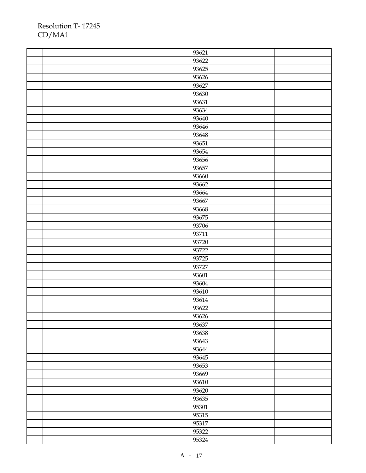| 93621 |  |
|-------|--|
| 93622 |  |
| 93625 |  |
| 93626 |  |
| 93627 |  |
| 93630 |  |
| 93631 |  |
| 93634 |  |
| 93640 |  |
| 93646 |  |
| 93648 |  |
| 93651 |  |
| 93654 |  |
| 93656 |  |
| 93657 |  |
| 93660 |  |
| 93662 |  |
| 93664 |  |
| 93667 |  |
| 93668 |  |
| 93675 |  |
| 93706 |  |
| 93711 |  |
| 93720 |  |
| 93722 |  |
| 93725 |  |
| 93727 |  |
| 93601 |  |
| 93604 |  |
| 93610 |  |
| 93614 |  |
| 93622 |  |
| 93626 |  |
| 93637 |  |
| 93638 |  |
| 93643 |  |
| 93644 |  |
| 93645 |  |
| 93653 |  |
| 93669 |  |
| 93610 |  |
| 93620 |  |
| 93635 |  |
| 95301 |  |
| 95315 |  |
| 95317 |  |
| 95322 |  |
| 95324 |  |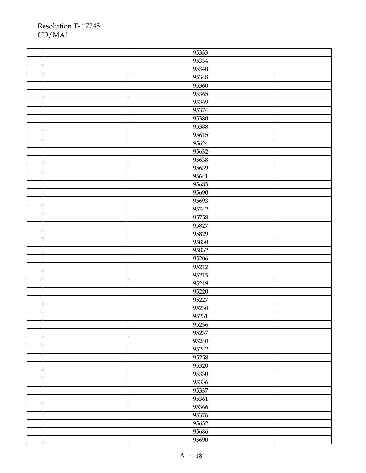| 95333 |  |
|-------|--|
| 95334 |  |
| 95340 |  |
| 95348 |  |
| 95360 |  |
| 95365 |  |
| 95369 |  |
| 95374 |  |
| 95380 |  |
| 95388 |  |
| 95615 |  |
| 95624 |  |
| 95632 |  |
| 95638 |  |
| 95639 |  |
| 95641 |  |
| 95683 |  |
| 95690 |  |
| 95693 |  |
| 95742 |  |
| 95758 |  |
| 95827 |  |
| 95829 |  |
| 95830 |  |
| 95832 |  |
| 95206 |  |
| 95212 |  |
| 95215 |  |
| 95219 |  |
| 95220 |  |
| 95227 |  |
| 95230 |  |
| 95231 |  |
| 95236 |  |
| 95237 |  |
| 95240 |  |
| 95242 |  |
| 95258 |  |
| 95320 |  |
| 95330 |  |
| 95336 |  |
| 95337 |  |
| 95361 |  |
| 95366 |  |
| 95376 |  |
| 95632 |  |
| 95686 |  |
| 95690 |  |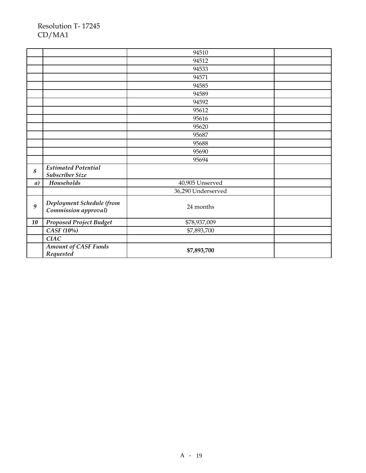|    |                                                   | 94510              |  |
|----|---------------------------------------------------|--------------------|--|
|    |                                                   | 94512              |  |
|    |                                                   | 94533              |  |
|    |                                                   | 94571              |  |
|    |                                                   | 94585              |  |
|    |                                                   | 94589              |  |
|    |                                                   | 94592              |  |
|    |                                                   | 95612              |  |
|    |                                                   | 95616              |  |
|    |                                                   | 95620              |  |
|    |                                                   | 95687              |  |
|    |                                                   | 95688              |  |
|    |                                                   | 95690              |  |
|    |                                                   | 95694              |  |
| 8  | <b>Estimated Potential</b><br>Subscriber Size     |                    |  |
| a) | Households                                        | 40,905 Unserved    |  |
|    |                                                   | 36,290 Underserved |  |
| 9  | Deployment Schedule (from<br>Commission approval) | 24 months          |  |
| 10 | <b>Proposed Project Budget</b>                    | \$78,937,009       |  |
|    | CASF (10%)                                        | \$7,893,700        |  |
|    | <b>CIAC</b>                                       |                    |  |
|    | <b>Amount of CASF Funds</b><br>Requested          | \$7,893,700        |  |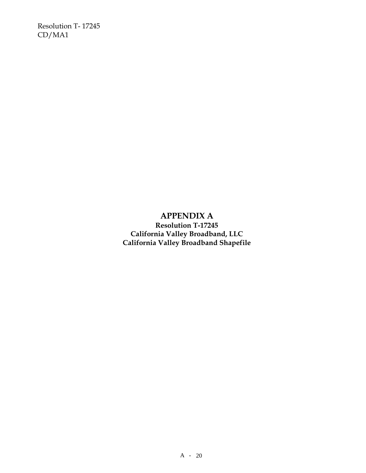> **APPENDIX A Resolution T-17245 California Valley Broadband, LLC California Valley Broadband Shapefile**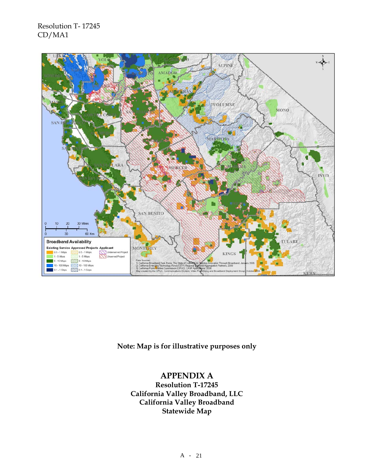

**Note: Map is for illustrative purposes only** 

## **APPENDIX A**

**Resolution T-17245 California Valley Broadband, LLC California Valley Broadband Statewide Map**